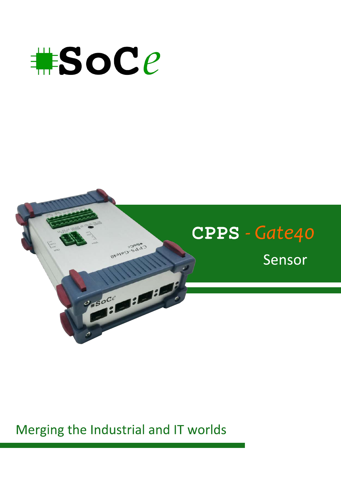



## Merging the Industrial and IT worlds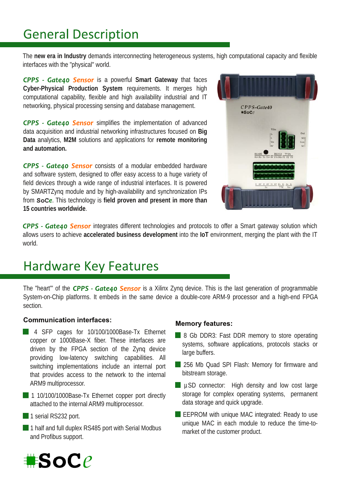# **General Description**

The **new era in Industry** demands interconnecting heterogeneous systems, high computational capacity and flexible interfaces with the "physical" world.

**CPPS - Gate40 Sensor** is a powerful Smart Gateway that faces Cyber-Physical Production System requirements. It merges high computational capability, flexible and high availability industrial and IT networking, physical processing sensing and database management.

CPPS - Gate40 Sensor simplifies the implementation of advanced data acquisition and industrial networking infrastructures focused on **Big Data** analytics, **M2M** solutions and applications for **remote monitoring and automation.**

CPPS - Gate40 Sensor consists of a modular embedded hardware and software system, designed to offer easy access to a huge variety of field devices through a wide range of industrial interfaces. It is powered by SMARTZyng module and by high-availability and synchronization IPs from **SoCe**. This technology is field proven and present in more than **15 countries worldwide**.



CPPS - Gate40 Sensor integrates different technologies and protocols to offer a Smart gateway solution which allows users to achieve **accelerated business development** into the **IoT** environment, merging the plant with the IT world.

### **Hardware Key Features**

The "heart" of the CPPS - Gate40 Sensor is a Xilinx Zyng device. This is the last generation of programmable System-on-Chip platforms. It embeds in the same device a double-core ARM-9 processor and a high-end FPGA section.

#### **Communication interfaces:**

- 4 SFP cages for 10/100/1000Base-Tx Ethernet copper or 1000Base-X fiber. These interfaces are driven by the FPGA section of the Zynq device providing low-latency switching capabilities. All switching implementations include an internal port that provides access to the network to the internal ARM9 multiprocessor.
- 1 10/100/1000Base-Tx Ethernet copper port directly attached to the internal ARM9 multiprocessor.

1 serial RS232 port.

1 half and full duplex RS485 port with Serial Modbus and Profibus support.

#### **Memory features:**

- 8 Gb DDR3: Fast DDR memory to store operating systems, software applications, protocols stacks or large buffers.
- 256 Mb Quad SPI Flash: Memory for firmware and bitstream storage.
- µSD connector: High density and low cost large storage for complex operating systems, permanent data storage and quick upgrade.
- E EEPROM with unique MAC integrated: Ready to use unique MAC in each module to reduce the time-tomarket of the customer product.

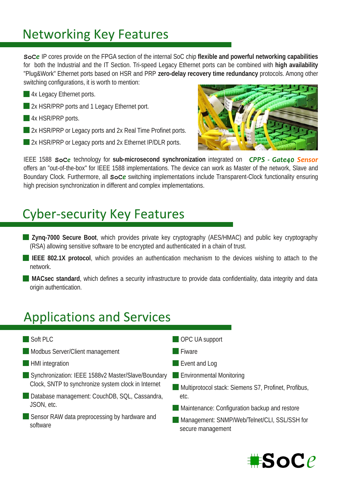# **Networking Key Features**

**SoCe** IP cores provide on the FPGA section of the internal SoC chip flexible and powerful networking capabilities for both the Industrial and the IT Section. Trispeed Legacy Ethernet ports can be combined with **high availability** "Plug&Work" Ethernet ports based on HSR and PRP zero-delay recovery time redundancy protocols. Among other switching configurations, it is worth to mention:

- **4x Legacy Ethernet ports.**
- 2x HSR/PRP ports and 1 Legacy Ethernet port.
- **4x HSR/PRP ports.**
- 2x HSR/PRP or Legacy ports and 2x Real Time Profinet ports.
- 2x HSR/PRP or Legacy ports and 2x Ethernet IP/DLR ports.



IEEE 1588 **SoCe** technology for sub-microsecond synchronization integrated on **CPPS - Gate40 Sensor** offers an "out-of-the-box" for IEEE 1588 implementations. The device can work as Master of the network, Slave and Boundary Clock. Furthermore, all soce switching implementations include Transparent-Clock functionality ensuring high precision synchronization in different and complex implementations.

# **Cyber-security Key Features**

- **Zyng-7000 Secure Boot, which provides private key cryptography (AES/HMAC) and public key cryptography** (RSA) allowing sensitive software to be encrypted and authenticated in a chain of trust.
- **IEEE 802.1X protocol**, which provides an authentication mechanism to the devices wishing to attach to the network.
- **MACsec standard, which defines a security infrastructure to provide data confidentiality, data integrity and data** origin authentication.

# **Applications and Services**

- Soft PLC
- Modbus Server/Client management
- **HMI** integration
- Synchronization: IEEE 1588v2 Master/Slave/Boundary Clock, SNTP to synchronize system clock in Internet
- Database management: CouchDB, SQL, Cassandra, JSON, etc.
- Sensor RAW data preprocessing by hardware and software
- **OPC UA support**
- **Fiware**
- **Event and Log**
- **Environmental Monitoring**
- **Multiprotocol stack: Siemens S7, Profinet, Profibus,** etc.
- **Maintenance: Configuration backup and restore**
- **Management: SNMP/Web/Telnet/CLI, SSL/SSH for** secure management